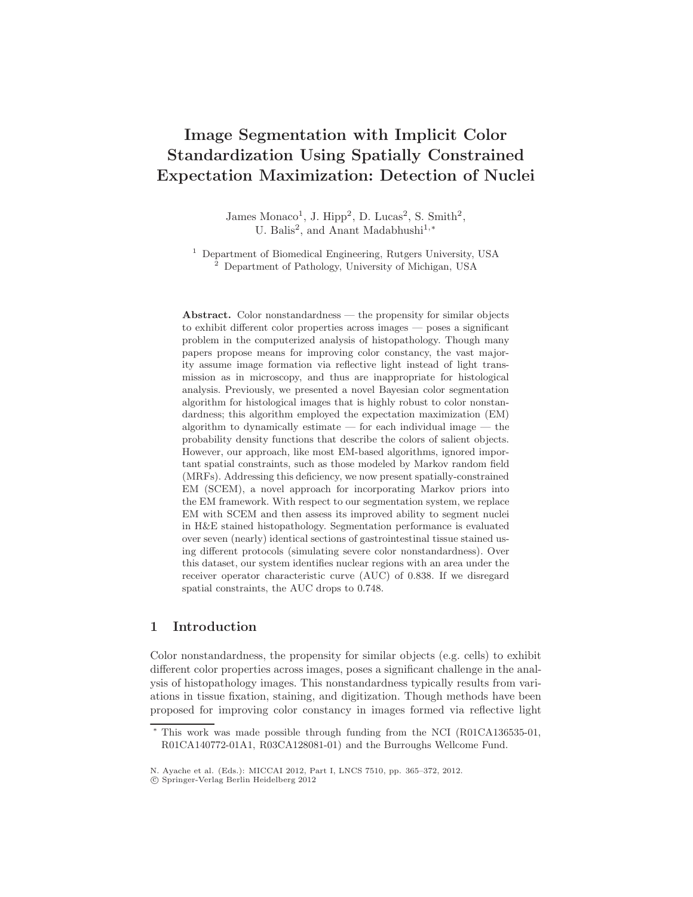# **Image Segmentation with Implicit Color Standardization Using Spatially Constrained Expectation Maximization: Detection of Nuclei**

James Monaco<sup>1</sup>, J. Hipp<sup>2</sup>, D. Lucas<sup>2</sup>, S. Smith<sup>2</sup>, U. Balis<sup>2</sup>, and Anant Madabhushi<sup>1,∗</sup>

<sup>1</sup> Department of Biomedical Engineering, Rutgers University, USA <sup>2</sup> Department of Pathology, University of Michigan, USA

**Abstract.** Color nonstandardness — the propensity for similar objects to exhibit different color properties across images — poses a significant problem in the computerized analysis of histopathology. Though many papers propose means for improving color constancy, the vast majority assume image formation via reflective light instead of light transmission as in microscopy, and thus are inappropriate for histological analysis. Previously, we presented a novel Bayesian color segmentation algorithm for histological images that is highly robust to color nonstandardness; this algorithm employed the expectation maximization (EM) algorithm to dynamically estimate — for each individual image — the probability density functions that describe the colors of salient objects. However, our approach, like most EM-based algorithms, ignored important spatial constraints, such as those modeled by Markov random field (MRFs). Addressing this deficiency, we now present spatially-constrained EM (SCEM), a novel approach for incorporating Markov priors into the EM framework. With respect to our segmentation system, we replace EM with SCEM and then assess its improved ability to segment nuclei in H&E stained histopathology. Segmentation performance is evaluated over seven (nearly) identical sections of gastrointestinal tissue stained using different protocols (simulating severe color nonstandardness). Over this dataset, our system identifies nuclear regions with an area under the receiver operator characteristic curve (AUC) of 0.838. If we disregard spatial constraints, the AUC drops to 0.748.

# **1 Introduction**

Color nonstandardness, the propensity for similar objects (e.g. cells) to exhibit different color properties across images, poses a significant challenge in the analysis of histopathology images. This nonstandardness typically results from variations in tissue fixation, staining, and digitization. Though methods have been proposed for improving color constancy in images formed via reflective light

This work was made possible through funding from the NCI (R01CA136535-01, R01CA140772-01A1, R03CA128081-01) and the Burroughs Wellcome Fund.

N. Ayache et al. (Eds.): MICCAI 2012, Part I, LNCS 7510, pp. 365–372, 2012.

c Springer-Verlag Berlin Heidelberg 2012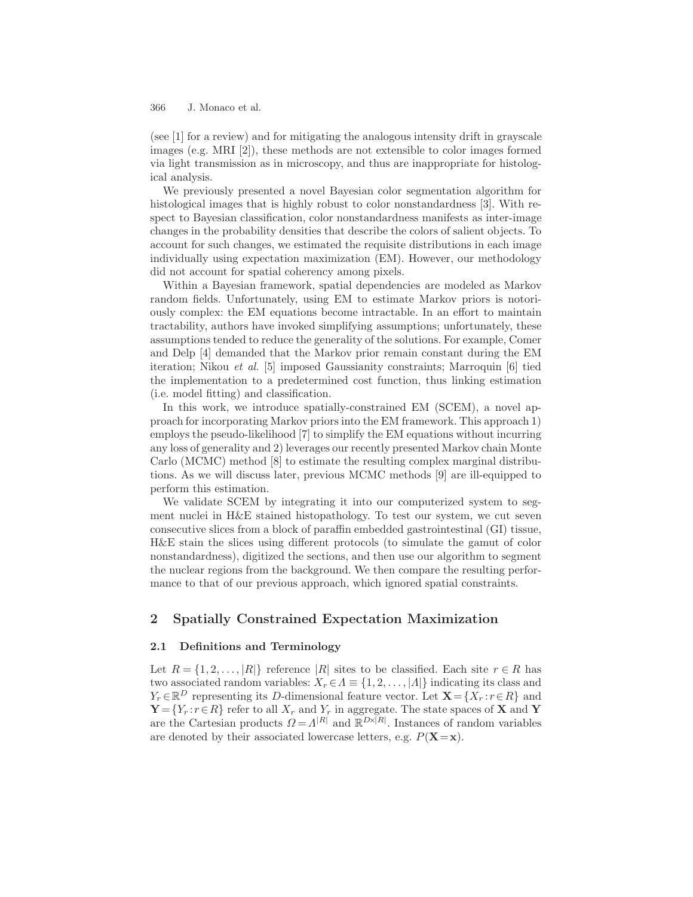(see [1] for a review) and for mitigating the analogous intensity drift in grayscale images (e.g. MRI [2]), these methods are not extensible to color images formed via light transmission as in microscopy, and thus are inappropriate for histological analysis.

We previously presented a novel Bayesian color segmentation algorithm for histological images that is highly robust to color nonstandardness [3]. With respect to Bayesian classification, color nonstandardness manifests as inter-image changes in the probability densities that describe the colors of salient objects. To account for such changes, we estimated the requisite distributions in each image individually using expectation maximization (EM). However, our methodology did not account for spatial coherency among pixels.

Within a Bayesian framework, spatial dependencies are modeled as Markov random fields. Unfortunately, using EM to estimate Markov priors is notoriously complex: the EM equations become intractable. In an effort to maintain tractability, authors have invoked simplifying assumptions; unfortunately, these assumptions tended to reduce the generality of the solutions. For example, Comer and Delp [4] demanded that the Markov prior remain constant during the EM iteration; Nikou et al. [5] imposed Gaussianity constraints; Marroquin [6] tied the implementation to a predetermined cost function, thus linking estimation (i.e. model fitting) and classification.

In this work, we introduce spatially-constrained EM (SCEM), a novel approach for incorporating Markov priors into the EM framework. This approach 1) employs the pseudo-likelihood [7] to simplify the EM equations without incurring any loss of generality and 2) leverages our recently presented Markov chain Monte Carlo (MCMC) method [8] to estimate the resulting complex marginal distributions. As we will discuss later, previous MCMC methods [9] are ill-equipped to perform this estimation.

We validate SCEM by integrating it into our computerized system to segment nuclei in H&E stained histopathology. To test our system, we cut seven consecutive slices from a block of paraffin embedded gastrointestinal (GI) tissue, H&E stain the slices using different protocols (to simulate the gamut of color nonstandardness), digitized the sections, and then use our algorithm to segment the nuclear regions from the background. We then compare the resulting performance to that of our previous approach, which ignored spatial constraints.

# **2 Spatially Constrained Expectation Maximization**

#### **2.1 Definitions and Terminology**

Let  $R = \{1, 2, \ldots, |R|\}$  reference  $|R|$  sites to be classified. Each site  $r \in R$  has two associated random variables:  $X_r \in A \equiv \{1, 2, \ldots, |A|\}$  indicating its class and  $Y_r \in \mathbb{R}^D$  representing its D-dimensional feature vector. Let  $\mathbf{X} = \{X_r : r \in R\}$  and  $\mathbf{Y} = \{Y_r : r \in R\}$  refer to all  $X_r$  and  $Y_r$  in aggregate. The state spaces of **X** and **Y** are the Cartesian products  $\Omega = \Lambda^{|R|}$  and  $\mathbb{R}^{D\times |R|}$ . Instances of random variables are denoted by their associated lowercase letters, e.g.  $P(\mathbf{X}=\mathbf{x})$ .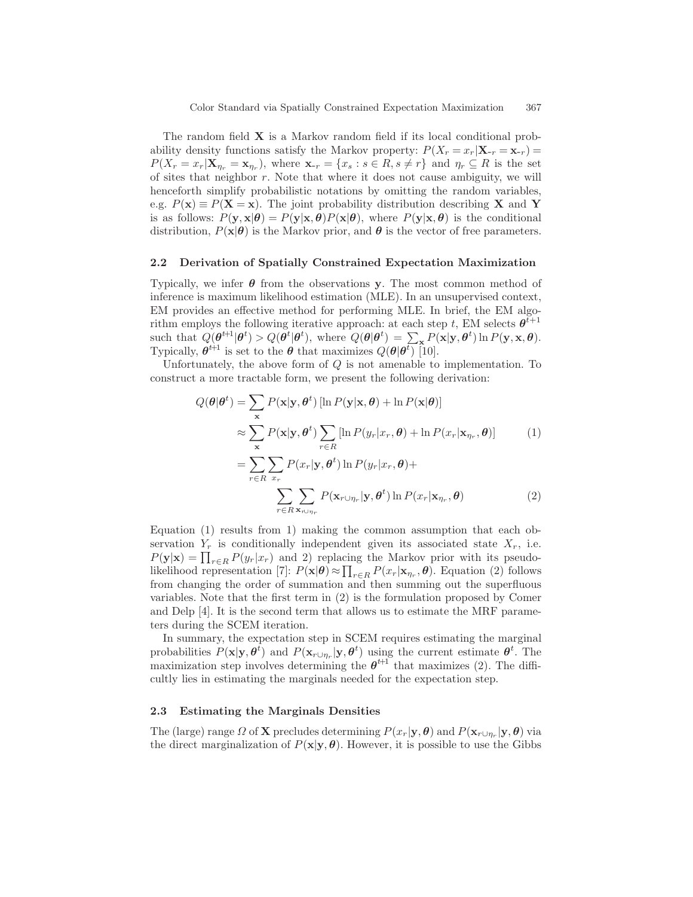The random field **X** is a Markov random field if its local conditional probability density functions satisfy the Markov property:  $P(X_r = x_r | \mathbf{X}_{-r} = \mathbf{x}_{-r}) =$  $P(X_r = x_r | \mathbf{X}_{\eta_r} = \mathbf{x}_{\eta_r}),$  where  $\mathbf{x}_{-r} = \{x_s : s \in R, s \neq r\}$  and  $\eta_r \subseteq R$  is the set of sites that neighbor r. Note that where it does not cause ambiguity, we will henceforth simplify probabilistic notations by omitting the random variables, e.g.  $P(\mathbf{x}) \equiv P(\mathbf{X} = \mathbf{x})$ . The joint probability distribution describing **X** and **Y** is as follows:  $P(\mathbf{y}, \mathbf{x}|\boldsymbol{\theta}) = P(\mathbf{y}|\mathbf{x}, \boldsymbol{\theta})P(\mathbf{x}|\boldsymbol{\theta})$ , where  $P(\mathbf{y}|\mathbf{x}, \boldsymbol{\theta})$  is the conditional distribution,  $P(\mathbf{x}|\boldsymbol{\theta})$  is the Markov prior, and  $\boldsymbol{\theta}$  is the vector of free parameters.

### **2.2 Derivation of Spatially Constrained Expectation Maximization**

Typically, we infer *θ* from the observations **y**. The most common method of inference is maximum likelihood estimation (MLE). In an unsupervised context, EM provides an effective method for performing MLE. In brief, the EM algorithm employs the following iterative approach: at each step t, EM selects  $\boldsymbol{\theta}^{t+1}$ such that  $Q(\boldsymbol{\theta}^{t+1}|\boldsymbol{\theta}^t) > Q(\boldsymbol{\theta}^t|\boldsymbol{\theta}^t)$ , where  $Q(\boldsymbol{\theta}|\boldsymbol{\theta}^t) = \sum_{k \in \mathbf{X}} P(\mathbf{x}|\mathbf{y}, \boldsymbol{\theta}^t) \ln P(\mathbf{y}, \mathbf{x}, \boldsymbol{\theta}).$ Typically,  $\boldsymbol{\theta}^{t+1}$  is set to the  $\boldsymbol{\theta}$  that maximizes  $Q(\boldsymbol{\theta}|\boldsymbol{\theta}^t)$  [10].

Unfortunately, the above form of  $Q$  is not amenable to implementation. To construct a more tractable form, we present the following derivation:

$$
Q(\theta|\theta^{t}) = \sum_{\mathbf{x}} P(\mathbf{x}|\mathbf{y}, \theta^{t}) [\ln P(\mathbf{y}|\mathbf{x}, \theta) + \ln P(\mathbf{x}|\theta)]
$$
  
\n
$$
\approx \sum_{\mathbf{x}} P(\mathbf{x}|\mathbf{y}, \theta^{t}) \sum_{r \in R} [\ln P(y_r|x_r, \theta) + \ln P(x_r|\mathbf{x}_{\eta_r}, \theta)] \qquad (1)
$$
  
\n
$$
= \sum_{r \in R} \sum_{x_r} P(x_r|\mathbf{y}, \theta^{t}) \ln P(y_r|x_r, \theta) +
$$
  
\n
$$
\sum_{r \in R} \sum_{\mathbf{x}_{r \cup \eta_r}} P(\mathbf{x}_{r \cup \eta_r}|\mathbf{y}, \theta^{t}) \ln P(x_r|\mathbf{x}_{\eta_r}, \theta) \qquad (2)
$$

Equation (1) results from 1) making the common assumption that each observation  $Y_r$  is conditionally independent given its associated state  $X_r$ , i.e.  $P(\mathbf{y}|\mathbf{x}) = \prod_{r \in R} P(y_r|x_r)$  and 2) replacing the Markov prior with its pseudolikelihood representation [7]:  $P(\mathbf{x}|\boldsymbol{\theta}) \approx \prod_{r \in R} P(x_r|\mathbf{x}_{\eta_r}, \boldsymbol{\theta})$ . Equation (2) follows from changing the order of summation and then summing out the superfluous variables. Note that the first term in (2) is the formulation proposed by Comer and Delp [4]. It is the second term that allows us to estimate the MRF parameters during the SCEM iteration.

In summary, the expectation step in SCEM requires estimating the marginal probabilities  $P(\mathbf{x}|\mathbf{y}, \boldsymbol{\theta}^t)$  and  $P(\mathbf{x}_{r\cup\eta_r}|\mathbf{y}, \boldsymbol{\theta}^t)$  using the current estimate  $\boldsymbol{\theta}^t$ . The maximization step involves determining the  $\theta^{t+1}$  that maximizes (2). The difficultly lies in estimating the marginals needed for the expectation step.

#### **2.3 Estimating the Marginals Densities**

The (large) range  $\Omega$  of **X** precludes determining  $P(x_r|\mathbf{y}, \boldsymbol{\theta})$  and  $P(\mathbf{x}_{r\cup n_r}|\mathbf{y}, \boldsymbol{\theta})$  via the direct marginalization of  $P(\mathbf{x}|\mathbf{y}, \boldsymbol{\theta})$ . However, it is possible to use the Gibbs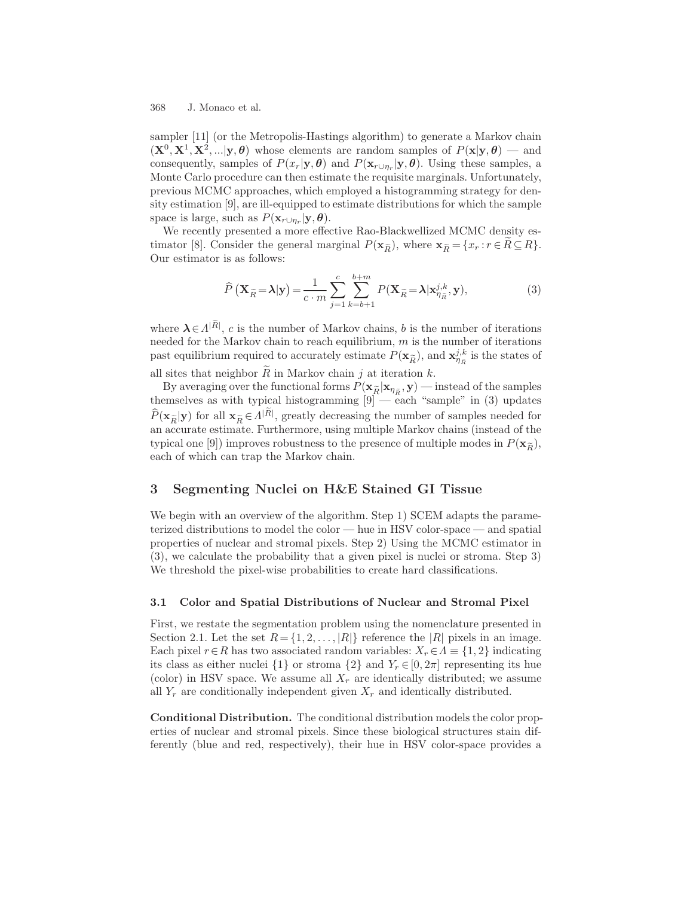sampler [11] (or the Metropolis-Hastings algorithm) to generate a Markov chain  $(\mathbf{X}^0, \mathbf{X}^1, \mathbf{X}^2, \ldots | \mathbf{y}, \theta)$  whose elements are random samples of  $P(\mathbf{x} | \mathbf{y}, \theta)$  — and consequently, samples of  $P(x_r|\mathbf{y}, \boldsymbol{\theta})$  and  $P(\mathbf{x}_{r\cup \eta_r}|\mathbf{y}, \boldsymbol{\theta})$ . Using these samples, a Monte Carlo procedure can then estimate the requisite marginals. Unfortunately, previous MCMC approaches, which employed a histogramming strategy for density estimation [9], are ill-equipped to estimate distributions for which the sample space is large, such as  $P(\mathbf{x}_{r\cup\eta_r}|\mathbf{y},\boldsymbol{\theta}).$ 

We recently presented a more effective Rao-Blackwellized MCMC density essity estimation [9], are ill-equipped to estimate distributions for which the sample<br>space is large, such as  $P(\mathbf{x}_{r \cup \eta_r} | \mathbf{y}, \theta)$ .<br>We recently presented a more effective Rao-Blackwellized MCMC density es-<br>timator [8] tributions to<br>ackwellized ]<br>), where  $\mathbf{x}_{\widetilde{R}}$ Our estimator is as follows:<br> $\hat{P}(\mathbf{X}_{\tilde{R}}=\lambda | \mathbf{y})$ 

Our estimator is as follows:  
\n
$$
\widehat{P}(\mathbf{X}_{\widetilde{R}} = \lambda | \mathbf{y}) = \frac{1}{c \cdot m} \sum_{j=1}^{c} \sum_{k=b+1}^{b+m} P(\mathbf{X}_{\widetilde{R}} = \lambda | \mathbf{x}_{\eta_{\widetilde{R}}}^{j,k}, \mathbf{y}),
$$
\n(3)  
\nwhere  $\lambda \in \Lambda^{|\widetilde{R}|}$ , c is the number of Markov chains, b is the number of iterations

needed for the Markov chain to reach equilibrium,  $m$  is the number of iterations where  $\lambda \in \Lambda^{|\tilde{R}|}$ , c is the number of Markov chains, b is the number of iterations needed for the Markov chain to reach equilibrium, m is the number of iterations past equilibrium required to accurately estimate  $P(\math$ 

all sites that neighbor  $\widetilde{R}$  in Markov chain j at iteration k.<br>By averaging over the functional forms  $P(\mathbf{x}_{\widetilde{R}}|\mathbf{x}_{\eta_{\widetilde{R}}}, \mathbf{y})$ By averaging over the functional forms  $P(\mathbf{x}_{\tilde{R}}|\mathbf{x}_{\eta_{\tilde{R}}}, \mathbf{y})$  — instead of the samples themselves as with typical histogramming  $[9]$  — each "sample" in (3) updates all sites that neighbor  $\tilde{R}$  in Markov chain *j* at iteration *k*.<br>
By averaging over the functional forms  $P(\mathbf{x}_{\tilde{R}}|\mathbf{x}_{\eta_{\tilde{R}}}, \mathbf{y})$  — instead of the samples<br>
themselves as with typical histogramming [9] — e an accurate estimate. Furthermore, using multiple Markov chains (instead of the  $\hat{P}(\mathbf{x}_{\tilde{R}}|\mathbf{y})$  for all  $\mathbf{x}_{\tilde{R}} \in \Lambda^{|\tilde{R}|}$ , greatly decreasing the number of samples needed for an accurate estimate. Furthermore, using multiple Markov chains (instead of the typical one [9]) improves rob typical one [9]) improves robustness to the presence of multiple modes in  $P(\mathbf{x}_{\widetilde{p}})$ , each of which can trap the Markov chain.

# **3 Segmenting Nuclei on H&E Stained GI Tissue**

We begin with an overview of the algorithm. Step 1) SCEM adapts the parameterized distributions to model the color — hue in HSV color-space — and spatial properties of nuclear and stromal pixels. Step 2) Using the MCMC estimator in (3), we calculate the probability that a given pixel is nuclei or stroma. Step 3) We threshold the pixel-wise probabilities to create hard classifications.

## **3.1 Color and Spatial Distributions of Nuclear and Stromal Pixel**

First, we restate the segmentation problem using the nomenclature presented in Section 2.1. Let the set  $R = \{1, 2, ..., |R|\}$  reference the |R| pixels in an image. Each pixel  $r \in R$  has two associated random variables:  $X_r \in \Lambda \equiv \{1, 2\}$  indicating its class as either nuclei  $\{1\}$  or stroma  $\{2\}$  and  $Y_r \in [0, 2\pi]$  representing its hue (color) in HSV space. We assume all  $X_r$  are identically distributed; we assume all  $Y_r$  are conditionally independent given  $X_r$  and identically distributed.

**Conditional Distribution.** The conditional distribution models the color properties of nuclear and stromal pixels. Since these biological structures stain differently (blue and red, respectively), their hue in HSV color-space provides a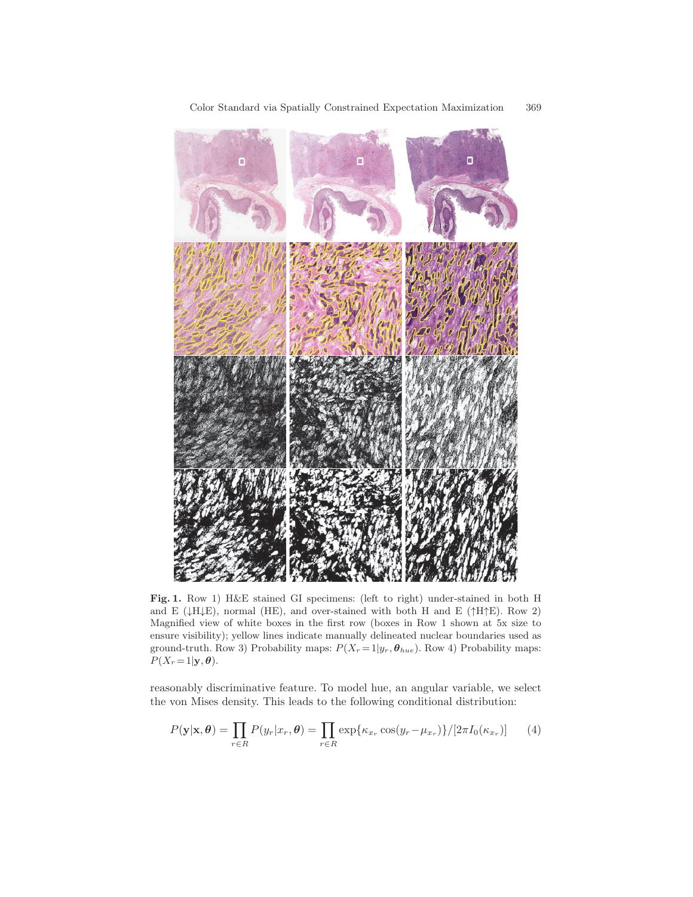

**Fig. 1.** Row 1) H&E stained GI specimens: (left to right) under-stained in both H and E ( $\downarrow$ H $\downarrow$ E), normal (HE), and over-stained with both H and E ( $\uparrow$ H $\uparrow$ E). Row 2) Magnified view of white boxes in the first row (boxes in Row 1 shown at 5x size to ensure visibility); yellow lines indicate manually delineated nuclear boundaries used as ground-truth. Row 3) Probability maps:  $P(X_r = 1|y_r, \theta_{hue})$ . Row 4) Probability maps:  $P(X_r = 1 | \mathbf{y}, \boldsymbol{\theta}).$ 

reasonably discriminative feature. To model hue, an angular variable, we select the von Mises density. This leads to the following conditional distribution:

$$
P(\mathbf{y}|\mathbf{x}, \boldsymbol{\theta}) = \prod_{r \in R} P(y_r | x_r, \boldsymbol{\theta}) = \prod_{r \in R} \exp\{\kappa_{x_r} \cos(y_r - \mu_{x_r})\} / [2\pi I_0(\kappa_{x_r})]
$$
(4)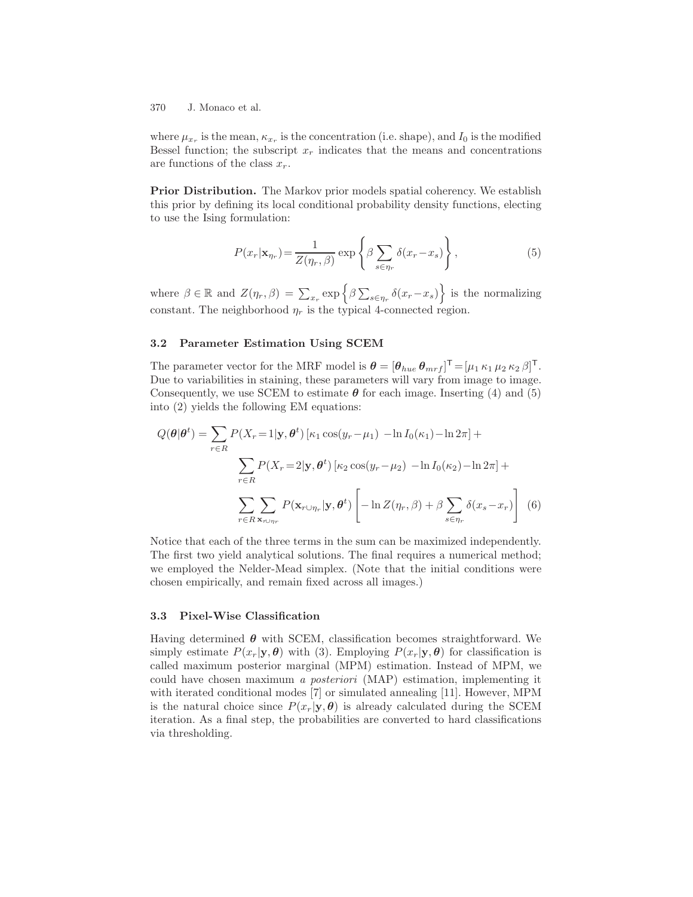where  $\mu_{x_r}$  is the mean,  $\kappa_{x_r}$  is the concentration (i.e. shape), and  $I_0$  is the modified Bessel function; the subscript  $x_r$  indicates that the means and concentrations are functions of the class  $x_r$ .

**Prior Distribution.** The Markov prior models spatial coherency. We establish this prior by defining its local conditional probability density functions, electing to use the Ising formulation:

$$
P(x_r|\mathbf{x}_{\eta_r}) = \frac{1}{Z(\eta_r, \beta)} \exp\left\{\beta \sum_{s \in \eta_r} \delta(x_r - x_s)\right\},\tag{5}
$$

where  $\beta \in \mathbb{R}$  and  $Z(\eta_r, \beta) = \sum_{x_r} \exp \{-\beta \sum_{s \in \eta_r} \delta(x_r - x_s) \}$  is the normalizing constant. The neighborhood  $\eta_r$  is the typical 4-connected region.

### **3.2 Parameter Estimation Using SCEM**

The parameter vector for the MRF model is  $\boldsymbol{\theta} = [\theta_{hue} \theta_{mrf}]^{\mathsf{T}} = [\mu_1 \kappa_1 \mu_2 \kappa_2 \beta]^{\mathsf{T}}$ . Due to variabilities in staining, these parameters will vary from image to image. Consequently, we use SCEM to estimate  $\theta$  for each image. Inserting (4) and (5) into (2) yields the following EM equations:

$$
Q(\boldsymbol{\theta}|\boldsymbol{\theta}^{t}) = \sum_{r \in R} P(X_r = 1|\mathbf{y}, \boldsymbol{\theta}^{t}) \left[\kappa_1 \cos(y_r - \mu_1) - \ln I_0(\kappa_1) - \ln 2\pi\right] +
$$

$$
\sum_{r \in R} P(X_r = 2|\mathbf{y}, \boldsymbol{\theta}^{t}) \left[\kappa_2 \cos(y_r - \mu_2) - \ln I_0(\kappa_2) - \ln 2\pi\right] +
$$

$$
\sum_{r \in R} \sum_{\mathbf{x}, \cup \eta_r} P(\mathbf{x}_{r \cup \eta_r}|\mathbf{y}, \boldsymbol{\theta}^{t}) \left[-\ln Z(\eta_r, \beta) + \beta \sum_{s \in \eta_r} \delta(x_s - x_r)\right] \tag{6}
$$

Notice that each of the three terms in the sum can be maximized independently. The first two yield analytical solutions. The final requires a numerical method; we employed the Nelder-Mead simplex. (Note that the initial conditions were chosen empirically, and remain fixed across all images.)

## **3.3 Pixel-Wise Classification**

Having determined *θ* with SCEM, classification becomes straightforward. We simply estimate  $P(x_r|\mathbf{y}, \boldsymbol{\theta})$  with (3). Employing  $P(x_r|\mathbf{y}, \boldsymbol{\theta})$  for classification is called maximum posterior marginal (MPM) estimation. Instead of MPM, we could have chosen maximum a posteriori (MAP) estimation, implementing it with iterated conditional modes [7] or simulated annealing [11]. However, MPM is the natural choice since  $P(x_r|\mathbf{y}, \boldsymbol{\theta})$  is already calculated during the SCEM iteration. As a final step, the probabilities are converted to hard classifications via thresholding.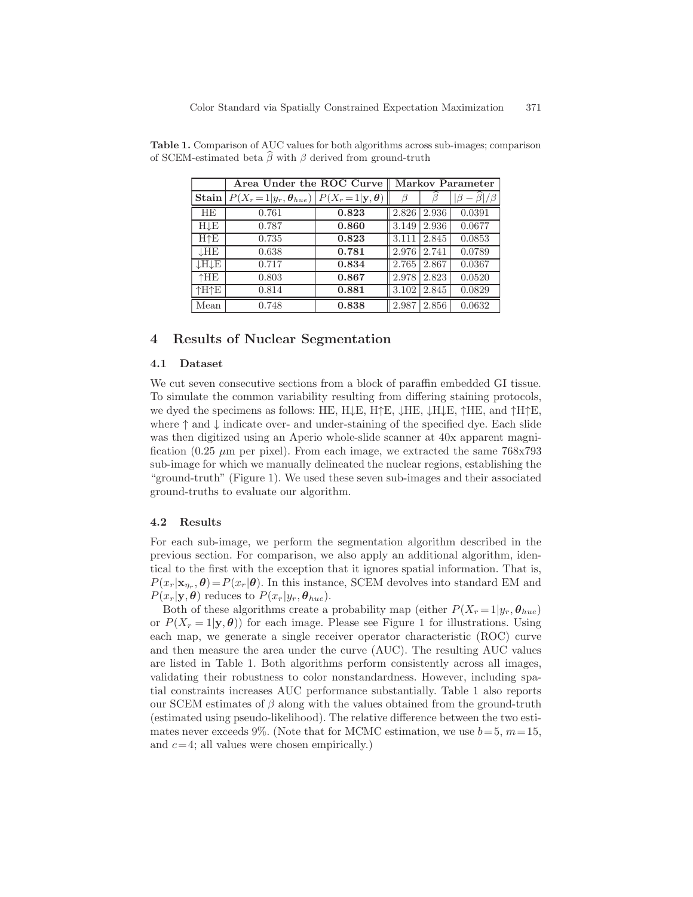| $\mu$ -estimated beta $\rho$ with $\rho$ derived from ground-truth |                                                                  |       |                         |       |        |
|--------------------------------------------------------------------|------------------------------------------------------------------|-------|-------------------------|-------|--------|
|                                                                    | Area Under the ROC Curve                                         |       | <b>Markov Parameter</b> |       |        |
|                                                                    | Stain $P(X_r=1 y_r, \theta_{hue})$ $P(X_r=1 \mathbf{y}, \theta)$ |       |                         |       |        |
| <b>HE</b>                                                          | 0.761                                                            | 0.823 | 2.826                   | 2.936 | 0.0391 |
| $H \downarrow E$                                                   | 0.787                                                            | 0.860 | 3.149                   | 2.936 | 0.0677 |
| H↑E                                                                | 0.735                                                            | 0.823 | 3.111                   | 2.845 | 0.0853 |
| $\downarrow$ HE                                                    | 0.638                                                            | 0.781 | 2.976                   | 2.741 | 0.0789 |
| ↓H↓E                                                               | 0.717                                                            | 0.834 | 2.765                   | 2.867 | 0.0367 |
| <b>^HE</b>                                                         | 0.803                                                            | 0.867 | 2.978                   | 2.823 | 0.0520 |
| 个H个E                                                               | 0.814                                                            | 0.881 | 3.102                   | 2.845 | 0.0829 |
| Mean                                                               | 0.748                                                            | 0.838 | 2.987                   | 2.856 | 0.0632 |

**Table 1.** Comparison of AUC values for both algorithms across sub-images; comparison **Table 1.** Comparison of AU of SCEM-estimated beta  $\widehat{\beta}$ of SCEM-estimated beta  $\hat{\beta}$  with  $\beta$  derived from ground-truth

## **4 Results of Nuclear Segmentation**

#### **4.1 Dataset**

We cut seven consecutive sections from a block of paraffin embedded GI tissue. To simulate the common variability resulting from differing staining protocols, we dyed the specimens as follows: HE, H↓E, H↑E, ↓HE, ↓H↓E, ↑HE, and ↑H↑E, where  $\uparrow$  and  $\downarrow$  indicate over- and under-staining of the specified dye. Each slide was then digitized using an Aperio whole-slide scanner at 40x apparent magnification (0.25  $\mu$ m per pixel). From each image, we extracted the same 768x793 sub-image for which we manually delineated the nuclear regions, establishing the "ground-truth" (Figure 1). We used these seven sub-images and their associated ground-truths to evaluate our algorithm.

#### **4.2 Results**

For each sub-image, we perform the segmentation algorithm described in the previous section. For comparison, we also apply an additional algorithm, identical to the first with the exception that it ignores spatial information. That is,  $P(x_r|\mathbf{x}_{n_r}, \theta) = P(x_r|\theta)$ . In this instance, SCEM devolves into standard EM and  $P(x_r|\mathbf{y}, \boldsymbol{\theta})$  reduces to  $P(x_r|y_r, \boldsymbol{\theta}_{hue}).$ 

Both of these algorithms create a probability map (either  $P(X_r = 1|y_r, \theta_{hue})$ ) or  $P(X_r = 1 | \mathbf{y}, \boldsymbol{\theta})$  for each image. Please see Figure 1 for illustrations. Using each map, we generate a single receiver operator characteristic (ROC) curve and then measure the area under the curve (AUC). The resulting AUC values are listed in Table 1. Both algorithms perform consistently across all images, validating their robustness to color nonstandardness. However, including spatial constraints increases AUC performance substantially. Table 1 also reports our SCEM estimates of  $\beta$  along with the values obtained from the ground-truth (estimated using pseudo-likelihood). The relative difference between the two estimates never exceeds 9%. (Note that for MCMC estimation, we use  $b=5, m=15$ , and  $c=4$ ; all values were chosen empirically.)